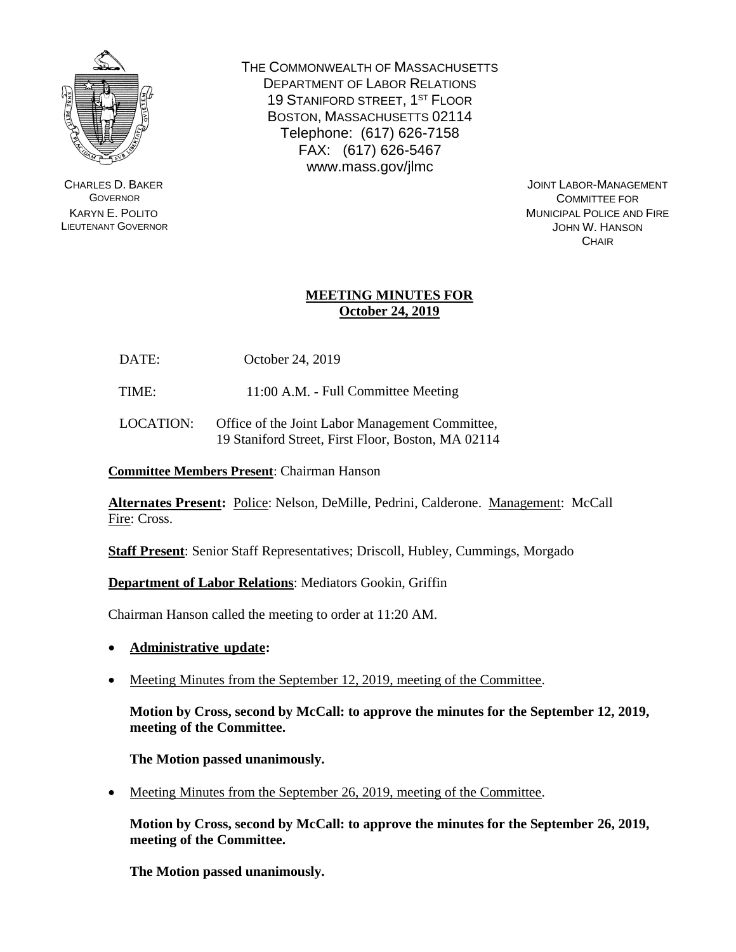

CHARLES D. BAKER **GOVERNOR** KARYN E. POLITO LIEUTENANT GOVERNOR THE COMMONWEALTH OF MASSACHUSETTS DEPARTMENT OF LABOR RELATIONS 19 STANIFORD STREET, 1<sup>ST</sup> FLOOR BOSTON, MASSACHUSETTS 02114 Telephone: (617) 626-7158 FAX: (617) 626-5467 www.mass.gov/jlmc

> JOINT LABOR-MANAGEMENT COMMITTEE FOR MUNICIPAL POLICE AND FIRE JOHN W. HANSON **CHAIR**

# **MEETING MINUTES FOR October 24, 2019**

DATE: October 24, 2019

TIME: 11:00 A.M. - Full Committee Meeting

LOCATION: Office of the Joint Labor Management Committee, 19 Staniford Street, First Floor, Boston, MA 02114

**Committee Members Present**: Chairman Hanson

**Alternates Present:** Police: Nelson, DeMille, Pedrini, Calderone. Management: McCall Fire: Cross.

**Staff Present**: Senior Staff Representatives; Driscoll, Hubley, Cummings, Morgado

**Department of Labor Relations**: Mediators Gookin, Griffin

Chairman Hanson called the meeting to order at 11:20 AM.

- **Administrative update:**
- Meeting Minutes from the September 12, 2019, meeting of the Committee.

**Motion by Cross, second by McCall: to approve the minutes for the September 12, 2019, meeting of the Committee.**

**The Motion passed unanimously.**

• Meeting Minutes from the September 26, 2019, meeting of the Committee.

**Motion by Cross, second by McCall: to approve the minutes for the September 26, 2019, meeting of the Committee.**

**The Motion passed unanimously.**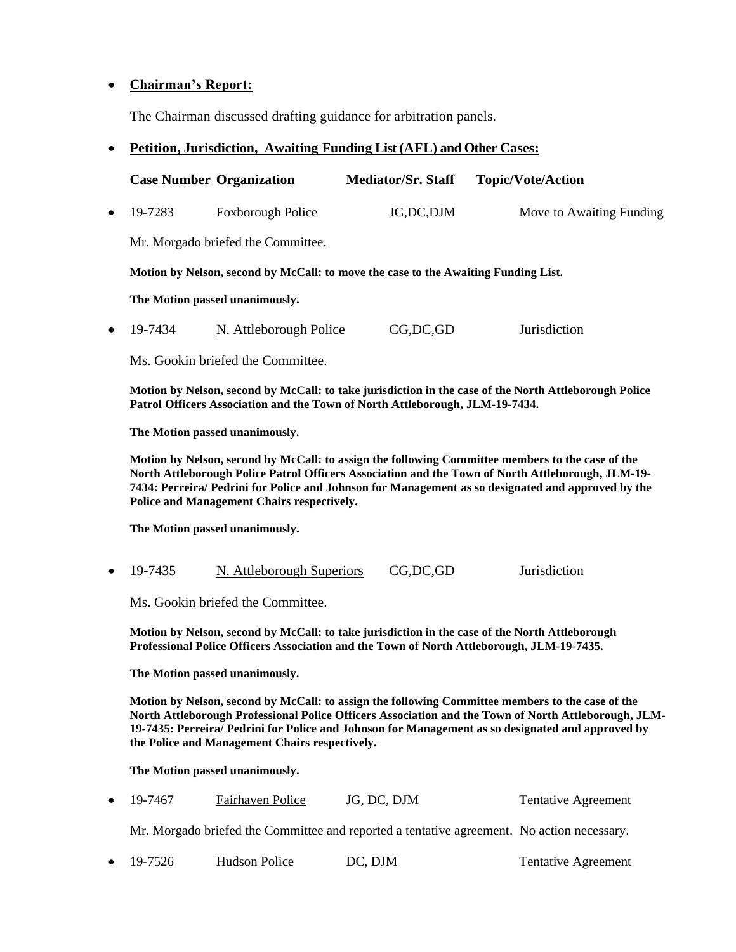# • **Chairman's Report:**

The Chairman discussed drafting guidance for arbitration panels.

# • **Petition, Jurisdiction, Awaiting Funding List (AFL) and Other Cases:**

|           |                                                                                                                                                                                                                                                                                                                                                                 | <b>Case Number Organization</b>    | <b>Mediator/Sr. Staff</b> |  | <b>Topic/Vote/Action</b>   |  |  |
|-----------|-----------------------------------------------------------------------------------------------------------------------------------------------------------------------------------------------------------------------------------------------------------------------------------------------------------------------------------------------------------------|------------------------------------|---------------------------|--|----------------------------|--|--|
| $\bullet$ | 19-7283                                                                                                                                                                                                                                                                                                                                                         | <b>Foxborough Police</b>           | JG,DC,DJM                 |  | Move to Awaiting Funding   |  |  |
|           |                                                                                                                                                                                                                                                                                                                                                                 | Mr. Morgado briefed the Committee. |                           |  |                            |  |  |
|           | Motion by Nelson, second by McCall: to move the case to the Awaiting Funding List.                                                                                                                                                                                                                                                                              |                                    |                           |  |                            |  |  |
|           | The Motion passed unanimously.                                                                                                                                                                                                                                                                                                                                  |                                    |                           |  |                            |  |  |
| $\bullet$ | 19-7434                                                                                                                                                                                                                                                                                                                                                         | N. Attleborough Police             | CG,DC,GD                  |  | Jurisdiction               |  |  |
|           |                                                                                                                                                                                                                                                                                                                                                                 | Ms. Gookin briefed the Committee.  |                           |  |                            |  |  |
|           | Motion by Nelson, second by McCall: to take jurisdiction in the case of the North Attleborough Police<br>Patrol Officers Association and the Town of North Attleborough, JLM-19-7434.                                                                                                                                                                           |                                    |                           |  |                            |  |  |
|           | The Motion passed unanimously.                                                                                                                                                                                                                                                                                                                                  |                                    |                           |  |                            |  |  |
|           | Motion by Nelson, second by McCall: to assign the following Committee members to the case of the<br>North Attleborough Police Patrol Officers Association and the Town of North Attleborough, JLM-19-<br>7434: Perreira/ Pedrini for Police and Johnson for Management as so designated and approved by the<br>Police and Management Chairs respectively.       |                                    |                           |  |                            |  |  |
|           |                                                                                                                                                                                                                                                                                                                                                                 | The Motion passed unanimously.     |                           |  |                            |  |  |
| $\bullet$ | 19-7435                                                                                                                                                                                                                                                                                                                                                         | N. Attleborough Superiors          | CG, DC, GD                |  | Jurisdiction               |  |  |
|           |                                                                                                                                                                                                                                                                                                                                                                 | Ms. Gookin briefed the Committee.  |                           |  |                            |  |  |
|           | Motion by Nelson, second by McCall: to take jurisdiction in the case of the North Attleborough<br>Professional Police Officers Association and the Town of North Attleborough, JLM-19-7435.                                                                                                                                                                     |                                    |                           |  |                            |  |  |
|           | The Motion passed unanimously.                                                                                                                                                                                                                                                                                                                                  |                                    |                           |  |                            |  |  |
|           | Motion by Nelson, second by McCall: to assign the following Committee members to the case of the<br>North Attleborough Professional Police Officers Association and the Town of North Attleborough, JLM-<br>19-7435: Perreira/ Pedrini for Police and Johnson for Management as so designated and approved by<br>the Police and Management Chairs respectively. |                                    |                           |  |                            |  |  |
|           | The Motion passed unanimously.                                                                                                                                                                                                                                                                                                                                  |                                    |                           |  |                            |  |  |
|           | 19-7467                                                                                                                                                                                                                                                                                                                                                         | Fairhaven Police                   | JG, DC, DJM               |  | <b>Tentative Agreement</b> |  |  |

| Mr. Morgado briefed the Committee and reported a tentative agreement. No action necessary. |  |
|--------------------------------------------------------------------------------------------|--|
|--------------------------------------------------------------------------------------------|--|

• 19-7526 Hudson Police DC, DJM Tentative Agreement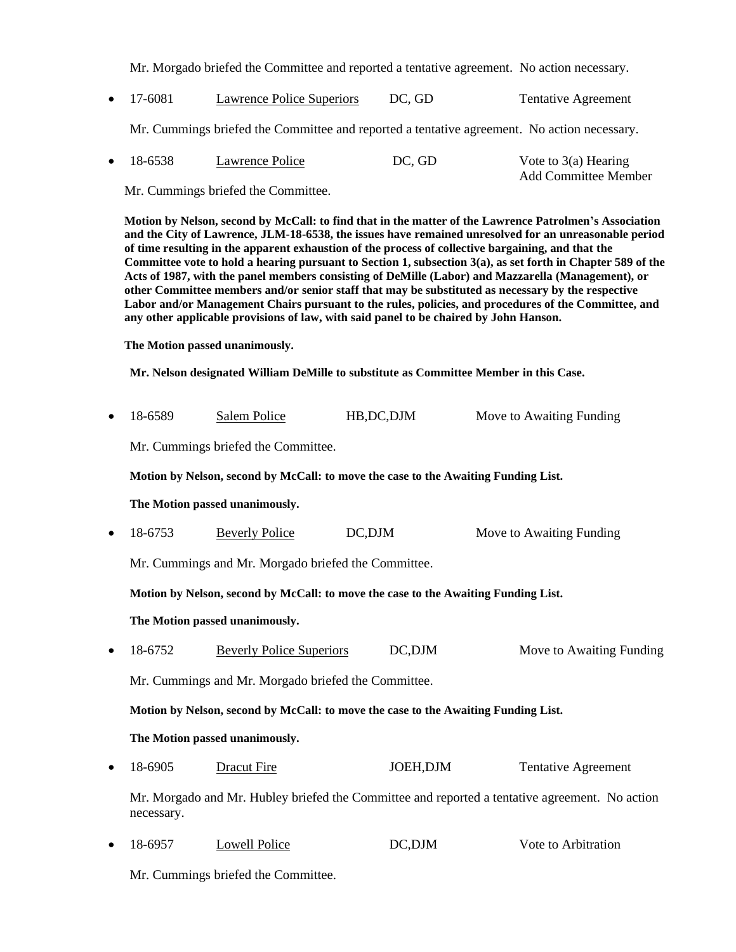Mr. Morgado briefed the Committee and reported a tentative agreement. No action necessary.

• 17-6081 Lawrence Police Superiors DC, GD Tentative Agreement

Mr. Cummings briefed the Committee and reported a tentative agreement. No action necessary.

| $\bullet$ 18-6538 | Lawrence Police | DC, GD | Vote to $3(a)$ Hearing      |
|-------------------|-----------------|--------|-----------------------------|
|                   |                 |        | <b>Add Committee Member</b> |

Mr. Cummings briefed the Committee.

**Motion by Nelson, second by McCall: to find that in the matter of the Lawrence Patrolmen's Association and the City of Lawrence, JLM-18-6538, the issues have remained unresolved for an unreasonable period of time resulting in the apparent exhaustion of the process of collective bargaining, and that the Committee vote to hold a hearing pursuant to Section 1, subsection 3(a), as set forth in Chapter 589 of the Acts of 1987, with the panel members consisting of DeMille (Labor) and Mazzarella (Management), or other Committee members and/or senior staff that may be substituted as necessary by the respective Labor and/or Management Chairs pursuant to the rules, policies, and procedures of the Committee, and any other applicable provisions of law, with said panel to be chaired by John Hanson.**

**The Motion passed unanimously.**

**Mr. Nelson designated William DeMille to substitute as Committee Member in this Case.**

| $\bullet$                                           | 18-6589                                                                                                      | <b>Salem Police</b>             | HB, DC, DJM  | Move to Awaiting Funding   |  |  |
|-----------------------------------------------------|--------------------------------------------------------------------------------------------------------------|---------------------------------|--------------|----------------------------|--|--|
|                                                     | Mr. Cummings briefed the Committee.                                                                          |                                 |              |                            |  |  |
|                                                     | Motion by Nelson, second by McCall: to move the case to the Awaiting Funding List.                           |                                 |              |                            |  |  |
|                                                     | The Motion passed unanimously.                                                                               |                                 |              |                            |  |  |
| $\bullet$                                           | 18-6753                                                                                                      | <b>Beverly Police</b>           | DC,DJM       | Move to Awaiting Funding   |  |  |
| Mr. Cummings and Mr. Morgado briefed the Committee. |                                                                                                              |                                 |              |                            |  |  |
|                                                     | Motion by Nelson, second by McCall: to move the case to the Awaiting Funding List.                           |                                 |              |                            |  |  |
|                                                     | The Motion passed unanimously.                                                                               |                                 |              |                            |  |  |
| $\bullet$                                           | 18-6752                                                                                                      | <b>Beverly Police Superiors</b> | $DC$ , $DJM$ | Move to Awaiting Funding   |  |  |
|                                                     | Mr. Cummings and Mr. Morgado briefed the Committee.                                                          |                                 |              |                            |  |  |
|                                                     | Motion by Nelson, second by McCall: to move the case to the Awaiting Funding List.                           |                                 |              |                            |  |  |
|                                                     | The Motion passed unanimously.                                                                               |                                 |              |                            |  |  |
| $\bullet$                                           | 18-6905                                                                                                      | <b>Dracut Fire</b>              | JOEH, DJM    | <b>Tentative Agreement</b> |  |  |
|                                                     | Mr. Morgado and Mr. Hubley briefed the Committee and reported a tentative agreement. No action<br>necessary. |                                 |              |                            |  |  |
|                                                     | 18-6957                                                                                                      | <b>Lowell Police</b>            | DC,DJM       | Vote to Arbitration        |  |  |

Mr. Cummings briefed the Committee.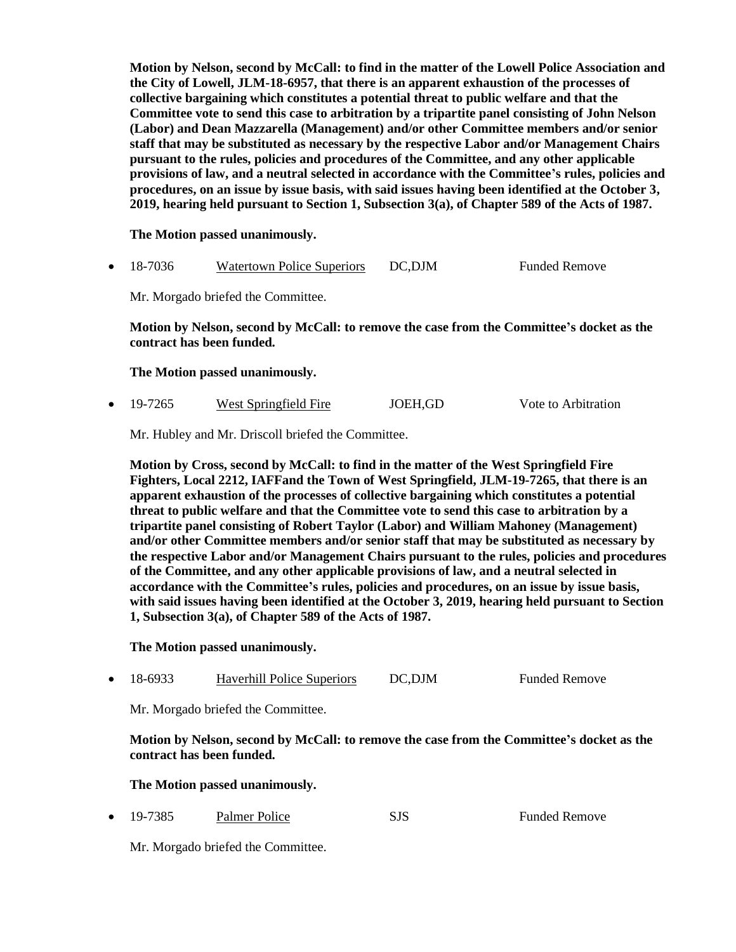**Motion by Nelson, second by McCall: to find in the matter of the Lowell Police Association and the City of Lowell, JLM-18-6957, that there is an apparent exhaustion of the processes of collective bargaining which constitutes a potential threat to public welfare and that the Committee vote to send this case to arbitration by a tripartite panel consisting of John Nelson (Labor) and Dean Mazzarella (Management) and/or other Committee members and/or senior staff that may be substituted as necessary by the respective Labor and/or Management Chairs pursuant to the rules, policies and procedures of the Committee, and any other applicable provisions of law, and a neutral selected in accordance with the Committee's rules, policies and procedures, on an issue by issue basis, with said issues having been identified at the October 3, 2019, hearing held pursuant to Section 1, Subsection 3(a), of Chapter 589 of the Acts of 1987.**

**The Motion passed unanimously.**

18-7036 Watertown Police Superiors DC, DJM Funded Remove

Mr. Morgado briefed the Committee.

**Motion by Nelson, second by McCall: to remove the case from the Committee's docket as the contract has been funded.**

**The Motion passed unanimously.**

• 19-7265 West Springfield Fire JOEH,GD Vote to Arbitration

Mr. Hubley and Mr. Driscoll briefed the Committee.

**Motion by Cross, second by McCall: to find in the matter of the West Springfield Fire Fighters, Local 2212, IAFFand the Town of West Springfield, JLM-19-7265, that there is an apparent exhaustion of the processes of collective bargaining which constitutes a potential threat to public welfare and that the Committee vote to send this case to arbitration by a tripartite panel consisting of Robert Taylor (Labor) and William Mahoney (Management) and/or other Committee members and/or senior staff that may be substituted as necessary by the respective Labor and/or Management Chairs pursuant to the rules, policies and procedures of the Committee, and any other applicable provisions of law, and a neutral selected in accordance with the Committee's rules, policies and procedures, on an issue by issue basis, with said issues having been identified at the October 3, 2019, hearing held pursuant to Section 1, Subsection 3(a), of Chapter 589 of the Acts of 1987.**

**The Motion passed unanimously.**

• 18-6933 Haverhill Police Superiors DC,DJM Funded Remove

Mr. Morgado briefed the Committee.

**Motion by Nelson, second by McCall: to remove the case from the Committee's docket as the contract has been funded.**

**The Motion passed unanimously.**

• 19-7385 Palmer Police SJS Funded Remove

Mr. Morgado briefed the Committee.